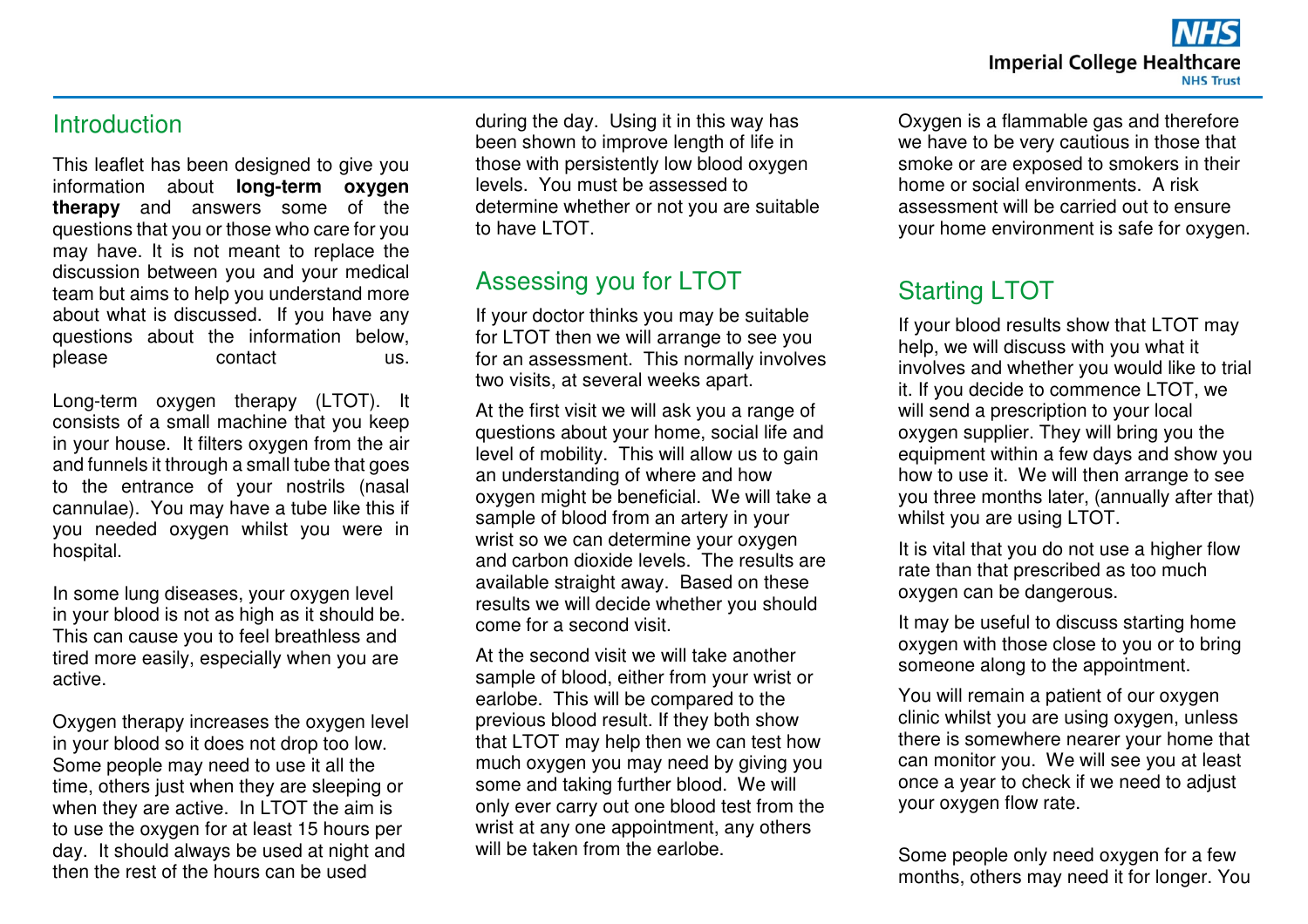#### **Introduction**

This leaflet has been designed to give you information about **long-term oxygen therapy** and answers some of the questions that you or those who care for you may have. It is not meant to replace the discussion between you and your medical team but aims to help you understand more about what is discussed. If you have any questions about the information below, please contact us.

Long-term oxygen therapy (LTOT). It consists of a small machine that you keep in your house. It filters oxygen from the air and funnels it through a small tube that goes to the entrance of your nostrils (nasal cannulae). You may have a tube like this if you needed oxygen whilst you were in hospital.

In some lung diseases, your oxygen level in your blood is not as high as it should be. This can cause you to feel breathless and tired more easily, especially when you are active.

Oxygen therapy increases the oxygen level in your blood so it does not drop too low. Some people may need to use it all the time, others just when they are sleeping or when they are active. In LTOT the aim is to use the oxygen for at least 15 hours per day. It should always be used at night and then the rest of the hours can be used

during the day. Using it in this way has been shown to improve length of life in those with persistently low blood oxygen levels. You must be assessed to determine whether or not you are suitable to have LTOT.

### Assessing you for LTOT

 If your doctor thinks you may be suitable for LTOT then we will arrange to see you for an assessment. This normally involves two visits, at several weeks apart.

At the first visit we will ask you a range of questions about your home, social life and level of mobility. This will allow us to gain an understanding of where and how oxygen might be beneficial. We will take a sample of blood from an artery in your wrist so we can determine your oxygen and carbon dioxide levels. The results are available straight away. Based on these results we will decide whether you should come for a second visit.

At the second visit we will take another sample of blood, either from your wrist or earlobe. This will be compared to the previous blood result. If they both show that LTOT may help then we can test how much oxygen you may need by giving you some and taking further blood. We will only ever carry out one blood test from the wrist at any one appointment, any others will be taken from the earlobe.

Oxygen is a flammable gas and therefore we have to be very cautious in those that smoke or are exposed to smokers in their home or social environments. A risk assessment will be carried out to ensure your home environment is safe for oxygen.

## Starting LTOT

If your blood results show that LTOT may help, we will discuss with you what it involves and whether you would like to trial it. If you decide to commence LTOT, we will send a prescription to your local oxygen supplier. They will bring you the equipment within a few days and show you how to use it. We will then arrange to see you three months later, (annually after that) whilst you are using LTOT.

It is vital that you do not use a higher flow rate than that prescribed as too much oxygen can be dangerous.

It may be useful to discuss starting home oxygen with those close to you or to bring someone along to the appointment.

You will remain a patient of our oxygen clinic whilst you are using oxygen, unless there is somewhere nearer your home that can monitor you. We will see you at least once a year to check if we need to adjust your oxygen flow rate.

Some people only need oxygen for a few months, others may need it for longer. You